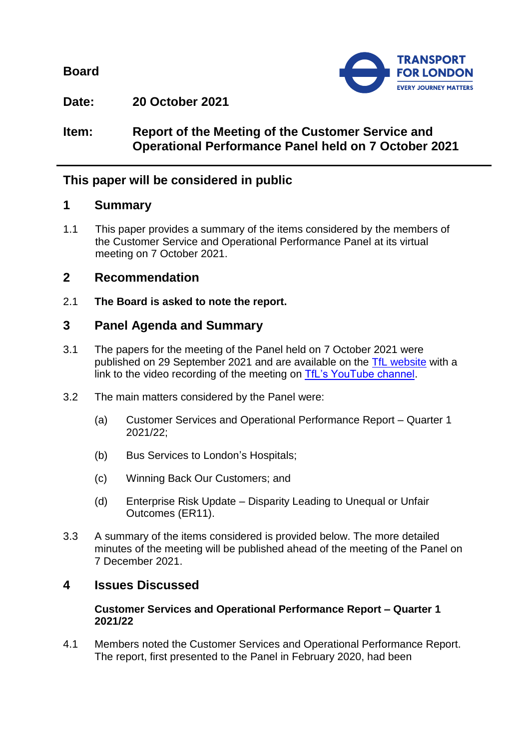**Board**



**Date: 20 October 2021**

**Item: Report of the Meeting of the Customer Service and Operational Performance Panel held on 7 October 2021**

# **This paper will be considered in public**

# **1 Summary**

1.1 This paper provides a summary of the items considered by the members of the Customer Service and Operational Performance Panel at its virtual meeting on 7 October 2021.

# **2 Recommendation**

2.1 **The Board is asked to note the report.**

# **3 Panel Agenda and Summary**

- 3.1 The papers for the meeting of the Panel held on 7 October 2021 were published on 29 September 2021 and are available on the [TfL website](https://board.tfl.gov.uk/uuCoverPage.aspx?bcr=1) with a link to the video recording of the meeting on [TfL's YouTube channel.](https://www.youtube.com/playlist?list=PLtnlusA0Zoggk4qvN68OcnD9k_7B8cY_d)
- 3.2 The main matters considered by the Panel were:
	- (a) Customer Services and Operational Performance Report Quarter 1 2021/22;
	- (b) Bus Services to London's Hospitals;
	- (c) Winning Back Our Customers; and
	- (d) Enterprise Risk Update Disparity Leading to Unequal or Unfair Outcomes (ER11).
- 3.3 A summary of the items considered is provided below. The more detailed minutes of the meeting will be published ahead of the meeting of the Panel on 7 December 2021.

# **4 Issues Discussed**

#### **Customer Services and Operational Performance Report – Quarter 1 2021/22**

4.1 Members noted the Customer Services and Operational Performance Report. The report, first presented to the Panel in February 2020, had been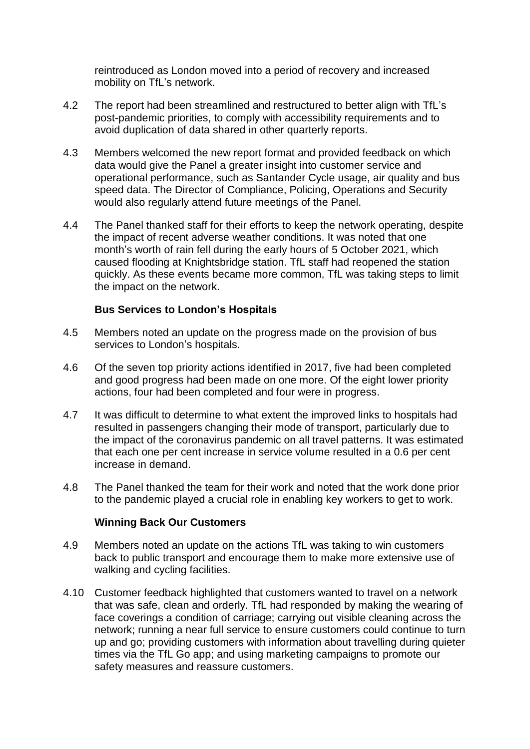reintroduced as London moved into a period of recovery and increased mobility on TfL's network.

- 4.2 The report had been streamlined and restructured to better align with TfL's post-pandemic priorities, to comply with accessibility requirements and to avoid duplication of data shared in other quarterly reports.
- 4.3 Members welcomed the new report format and provided feedback on which data would give the Panel a greater insight into customer service and operational performance, such as Santander Cycle usage, air quality and bus speed data. The Director of Compliance, Policing, Operations and Security would also regularly attend future meetings of the Panel.
- 4.4 The Panel thanked staff for their efforts to keep the network operating, despite the impact of recent adverse weather conditions. It was noted that one month's worth of rain fell during the early hours of 5 October 2021, which caused flooding at Knightsbridge station. TfL staff had reopened the station quickly. As these events became more common, TfL was taking steps to limit the impact on the network.

#### **Bus Services to London's Hospitals**

- 4.5 Members noted an update on the progress made on the provision of bus services to London's hospitals.
- 4.6 Of the seven top priority actions identified in 2017, five had been completed and good progress had been made on one more. Of the eight lower priority actions, four had been completed and four were in progress.
- 4.7 It was difficult to determine to what extent the improved links to hospitals had resulted in passengers changing their mode of transport, particularly due to the impact of the coronavirus pandemic on all travel patterns. It was estimated that each one per cent increase in service volume resulted in a 0.6 per cent increase in demand.
- 4.8 The Panel thanked the team for their work and noted that the work done prior to the pandemic played a crucial role in enabling key workers to get to work.

#### **Winning Back Our Customers**

- 4.9 Members noted an update on the actions TfL was taking to win customers back to public transport and encourage them to make more extensive use of walking and cycling facilities.
- 4.10 Customer feedback highlighted that customers wanted to travel on a network that was safe, clean and orderly. TfL had responded by making the wearing of face coverings a condition of carriage; carrying out visible cleaning across the network; running a near full service to ensure customers could continue to turn up and go; providing customers with information about travelling during quieter times via the TfL Go app; and using marketing campaigns to promote our safety measures and reassure customers.